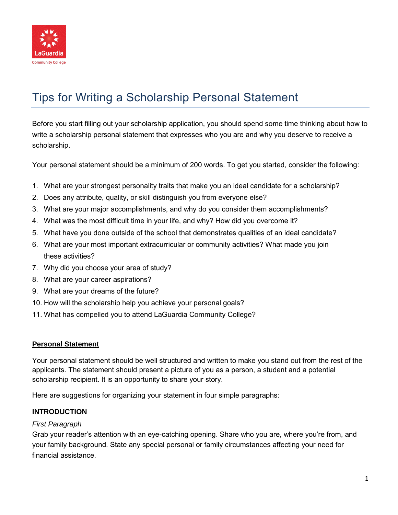

# Tips for Writing a Scholarship Personal Statement

Before you start filling out your scholarship application, you should spend some time thinking about how to write a scholarship personal statement that expresses who you are and why you deserve to receive a scholarship.

Your personal statement should be a minimum of 200 words. To get you started, consider the following:

- 1. What are your strongest personality traits that make you an ideal candidate for a scholarship?
- 2. Does any attribute, quality, or skill distinguish you from everyone else?
- 3. What are your major accomplishments, and why do you consider them accomplishments?
- 4. What was the most difficult time in your life, and why? How did you overcome it?
- 5. What have you done outside of the school that demonstrates qualities of an ideal candidate?
- 6. What are your most important extracurricular or community activities? What made you join these activities?
- 7. Why did you choose your area of study?
- 8. What are your career aspirations?
- 9. What are your dreams of the future?
- 10. How will the scholarship help you achieve your personal goals?
- 11. What has compelled you to attend LaGuardia Community College?

#### **Personal Statement**

Your personal statement should be well structured and written to make you stand out from the rest of the applicants. The statement should present a picture of you as a person, a student and a potential scholarship recipient. It is an opportunity to share your story.

Here are suggestions for organizing your statement in four simple paragraphs:

#### **INTRODUCTION**

#### *First Paragraph*

Grab your reader's attention with an eye-catching opening. Share who you are, where you're from, and your family background. State any special personal or family circumstances affecting your need for financial assistance.